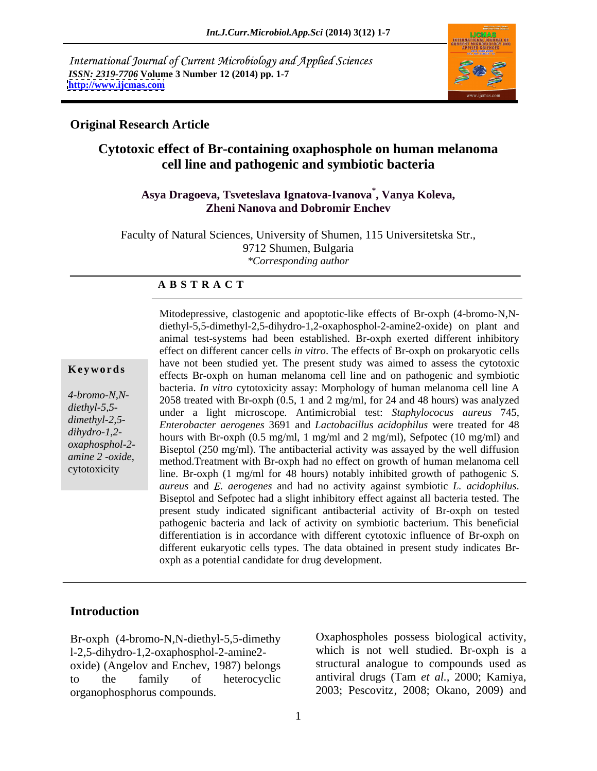International Journal of Current Microbiology and Applied Sciences *ISSN: 2319-7706* **Volume 3 Number 12 (2014) pp. 1-7 <http://www.ijcmas.com>**



## **Original Research Article**

# **Cytotoxic effect of Br-containing oxaphosphole on human melanoma cell line and pathogenic and symbiotic bacteria**

### **Asya Dragoeva, Tsveteslava Ignatova-Ivanova\* , Vanya Koleva, Zheni Nanova and Dobromir Enchev**

Faculty of Natural Sciences, University of Shumen, 115 Universitetska Str., 9712 Shumen, Bulgaria *\*Corresponding author*

### **A B S T R A C T**

**Keywords** and the not been statically effects. The present staty was annea to assess the cylotoxic effects Br-oxph on human melanoma cell line and on pathogenic and symbiotic *4-bromo-N,N-* 2058 treated with Br-oxph (0.5, 1 and 2 mg/ml, for 24 and 48 hours) was analyzed *diethyl-5,5-* under a light microscope. Antimicrobial test: *Staphylococus aureus* 745, *dimethyl-2,5- Enterobacter aerogenes* 3691 and *Lactobacillus acidophilus* were treated for 48 *dihydro-1,2-* hours with Br-oxph (0.5 mg/ml, 1 mg/ml and 2 mg/ml), Sefpotec (10 mg/ml) and *oxaphosphol-2-* Biseptol (250 mg/ml). The antibacterial activity was assayed by the well diffusion *amine 2 -oxide*,<br>
method.Treatment with Br-oxph had no effect on growth of human melanoma cell<br>
cytotoxicity<br>
line Br oxph (1 mg/ml for 48 hours) notably inhibited growth of pathoganic S Mitodepressive, clastogenic and apoptotic-like effects of Br-oxph (4-bromo-N,N diethyl-5,5-dimethyl-2,5-dihydro-1,2-oxaphosphol-2-amine2-oxide) on plant and animal test-systems had been established. Br-oxph exerted different inhibitory effect on different cancer cells *in vitro*. The effects of Br-oxph on prokaryotic cells have not been studied yet. The present study was aimed to assess the cytotoxic bacteria. *In vitro* cytotoxicity assay: Morphology of human melanoma cell line A line. Br-oxph (1 mg/ml for 48 hours) notably inhibited growth of pathogenic *S. aureus* and *E. aerogenes* and had no activity against symbiotic *L. acidophilus*. Biseptol and Sefpotec had a slight inhibitory effect against all bacteria tested. The present study indicated significant antibacterial activity of Br-oxph on tested pathogenic bacteria and lack of activity on symbiotic bacterium. This beneficial differentiation is in accordance with different cytotoxic influence of Br-oxph on different eukaryotic cells types. The data obtained in present study indicates Br oxph as a potential candidate for drug development.

### **Introduction**

Br-oxph (4-bromo-N,N-diethyl-5,5-dimethy l-2,5-dihydro-1,2-oxaphosphol-2-amine2 oxide) (Angelov and Enchev, 1987) belongs to the family of heterocyclic antiviral drugs (Tam *et al.,* 2000; Kamiya, organophosphorus compounds. 2003; Pescovitz, 2008; Okano, 2009) and

Oxaphospholes possess biological activity, which is not well studied. Br-oxph is a structural analogue to compounds used as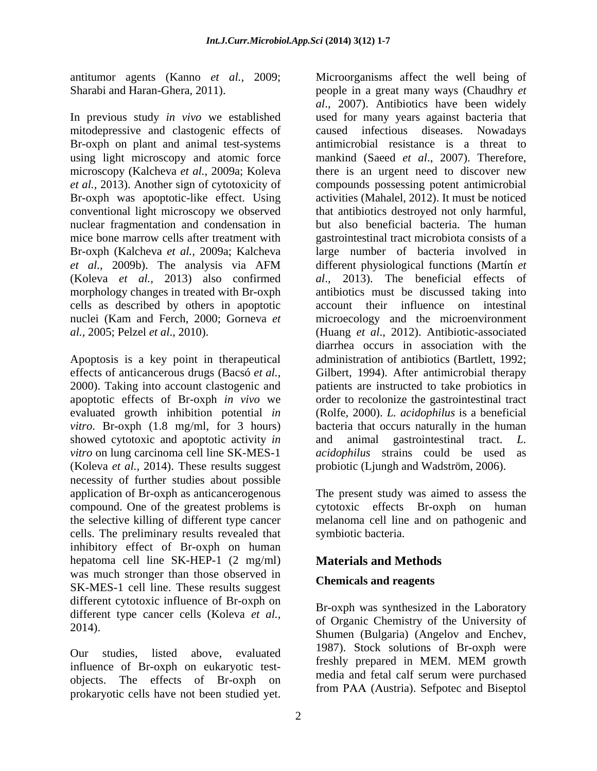antitumor agents (Kanno *et al.,* 2009;

conventional light microscopy we observed nuclear fragmentation and condensation in cells as described by others in apoptotic

showed cytotoxic and apoptotic activity *in* and animal gastrointestinal tract. L. *vitro* on lung carcinoma cell line SK-MES-1 *acidophilus* strains could be used as (Koleva *et al.,* 2014). These results suggest necessity of further studies about possible application of Br-oxph as anticancerogenous The present study was aimed to assess the compound. One of the greatest problems is cytotoxic effects Br-oxph on human the selective killing of different type cancer melanoma cell line and on pathogenic and cells. The preliminary results revealed that inhibitory effect of Br-oxph on human hepatoma cell line SK-HEP-1 (2 mg/ml) was much stronger than those observed in SK-MES-1 cell line. These results suggest different cytotoxic influence of Br-oxph on different type cancer cells (Koleva *et al.,*

our studies, issue above, evaluated<br>influence of Br-oxph on eukaryotic testobjects. The effects of Br-oxph on

Sharabi and Haran-Ghera, 2011). people in a great many ways (Chaudhry *et*  In previous study *in vivo* we established used for many years against bacteria that mitodepressive and clastogenic effects of caused infectious diseases. Nowadays Br-oxph on plant and animal test-systems antimicrobial resistance is a threat to using light microscopy and atomic force mankind (Saeed *et al*., 2007). Therefore, microscopy (Kalcheva *et al.,* 2009a; Koleva there is an urgent need to discover new *et al.,* 2013). Another sign of cytotoxicity of compounds possessing potent antimicrobial Br-oxph was apoptotic-like effect. Using activities (Mahalel, 2012). It must be noticed mice bone marrow cells after treatment with gastrointestinal tract microbiota consists of a Br-oxph (Kalcheva *et al.,* 2009a; Kalcheva large number of bacteria involved in *et al.,* 2009b). The analysis via AFM (Koleva *et al.,* 2013) also confirmed *al*., 2013). The beneficial effects of morphology changes in treated with Br-oxph antibiotics must be discussed taking into nuclei (Kam and Ferch, 2000; Gorneva *et*  microecology and the microenvironment *al.,* 2005; Pelzel *et al*., 2010). (Huang *et al*., 2012). Antibiotic-associated Apoptosis is a key point in therapeutical administration of antibiotics (Bartlett, 1992; effects of anticancerous drugs (Bacsó *et al.,* Gilbert, 1994). After antimicrobial therapy 2000). Taking into account clastogenic and patients are instructed to take probiotics in apoptotic effects of Br-oxph *in vivo* we order to recolonize the gastrointestinal tract evaluated growth inhibition potential *in*  (Rolfe, 2000). *L. acidophilus* is a beneficial *vitro*. Br-oxph (1.8 mg/ml, for 3 hours) bacteria that occurs naturally in the human antimory agents. (Kaon or eal. 2005, bit when we see the well being of the studied yet. In properties the cells of the properties have not been studied yet. The properties have not been studied yet. The properties have no *al*., 2007). Antibiotics have been widely that antibiotics destroyed not only harmful, but also beneficial bacteria. The human different physiological functions (Martín *et*  account their influence on intestinal diarrhea occurs in association with the animal gastrointestinal *acidophilus* strains could be used probiotic (Ljungh and Wadström, 2006).

symbiotic bacteria.

# **Materials and Methods**

# **Chemicals and reagents**

2014).<br>Shumen (Bulgaria) (Angelov and Enchev, Our studies, listed above, evaluated  $\frac{1307}{6}$  Stock solutions of DI-OAPH were Br-oxph was synthesized in the Laboratory of Organic Chemistry of the University of 1987). Stock solutions of Br-oxph were freshly prepared in MEM. MEM growth media and fetal calf serum were purchased from PAA (Austria). Sefpotec and Biseptol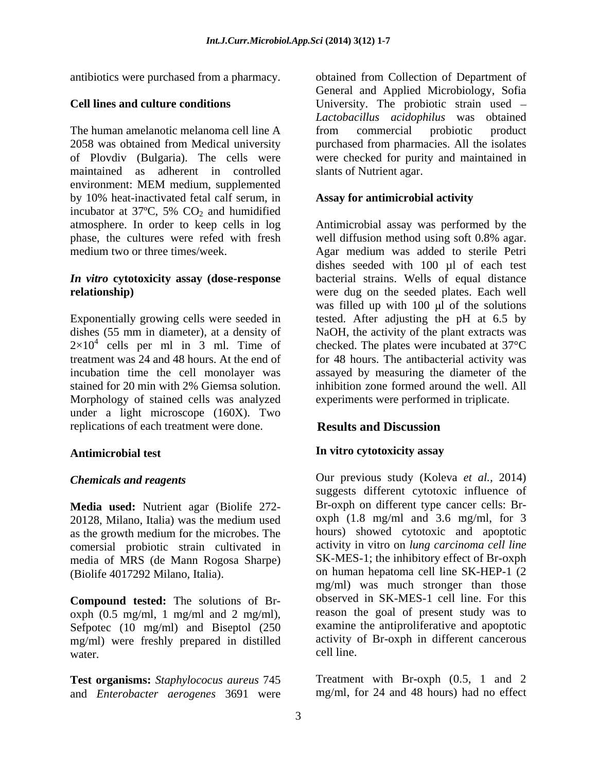The human amelanotic melanoma cell line A from commercial probiotic product 2058 was obtained from Medical university purchased from pharmacies. All the isolates of Plovdiv (Bulgaria). The cells were were checked for purity and maintained in maintained as adherent in controlled environment: MEM medium, supplemented by 10% heat-inactivated fetal calf serum, in incubator at 37 $\degree$ C, 5% CO<sub>2</sub> and humidified phase, the cultures were refed with fresh well diffusion method using soft 0.8% agar.

Exponentially growing cells were seeded in  $2\times10^4$  cells per ml in 3 ml. Time of stained for 20 min with 2% Giemsa solution. Morphology of stained cells was analyzed under a light microscope (160X). Two replications of each treatment were done. **Results and Discussion** 

**Media used:** Nutrient agar (Biolife 272- 20128, Milano, Italia) was the medium used  $\qquad$  oxph (1.8 mg/ml and 3.6 mg/ml, for 3 as the growth medium for the microbes. The comersial probiotic strain cultivated in media of MRS (de Mann Rogosa Sharpe)

**Compound tested:** The solutions of Br oxph  $(0.5 \text{ mg/ml}, 1 \text{ mg/ml}$  and  $2 \text{ mg/ml}$ , Sefpotec (10 mg/ml) and Biseptol (250 mg/ml) were freshly prepared in distilled activity activity cell line. water. cell line.

**Test organisms:** *Staphylococus aureus* 745 and *Enterobacter aerogenes* 3691 were

antibiotics were purchased from a pharmacy. obtained from Collection of Department of **Cell lines and culture conditions** University. The probiotic strain used – General and Applied Microbiology, Sofia *Lactobacillus acidophilus* was obtained from commercial probiotic product slants of Nutrient agar.

### **Assay for antimicrobial activity**

atmosphere. In order to keep cells in log Antimicrobial assay was performed by the medium two or three times/week. Agar medium was added to sterile Petri *In vitro* **cytotoxicity assay (dose-response**  bacterial strains. Wells of equal distance **relationship)** were dug on the seeded plates. Each well dishes (55 mm in diameter), at a density of NaOH, the activity of the plant extracts was cells per ml in 3 ml. Time of checked. The plates were incubated at 37°C treatment was 24 and 48 hours. At the end of for 48 hours. The antibacterial activity was incubation time the cell monolayer was assayed by measuring the diameter of the well diffusion method using soft 0.8% agar. dishes seeded with 100 µl of each test was filled up with  $100 \mu l$  of the solutions tested. After adjusting the pH at 6.5 by inhibition zone formed around the well. All experiments were performed in triplicate.

# **Results and Discussion**

# **Antimicrobial test In vitro cytotoxicity assay**

*Chemicals and reagents* Our previous study (Koleva *et al.,* 2014) (Biolife 4017292 Milano, Italia). on human hepatoma cell line SK-HEP-1 (2 suggests different cytotoxic influence of Br-oxph on different type cancer cells: Br oxph (1.8 mg/ml and 3.6 mg/ml, for 3 hours) showed cytotoxic and apoptotic activity in vitro on *lung carcinoma cell line* SK-MES-1; the inhibitory effect of Br-oxph mg/ml) was much stronger than those observed in SK-MES-1 cell line. For this reason the goal of present study was to examine the antiproliferative and apoptotic activity of Br-oxph in different cancerous cell line.

> Treatment with Br-oxph (0.5, 1 and 2 mg/ml, for 24 and 48 hours) had no effect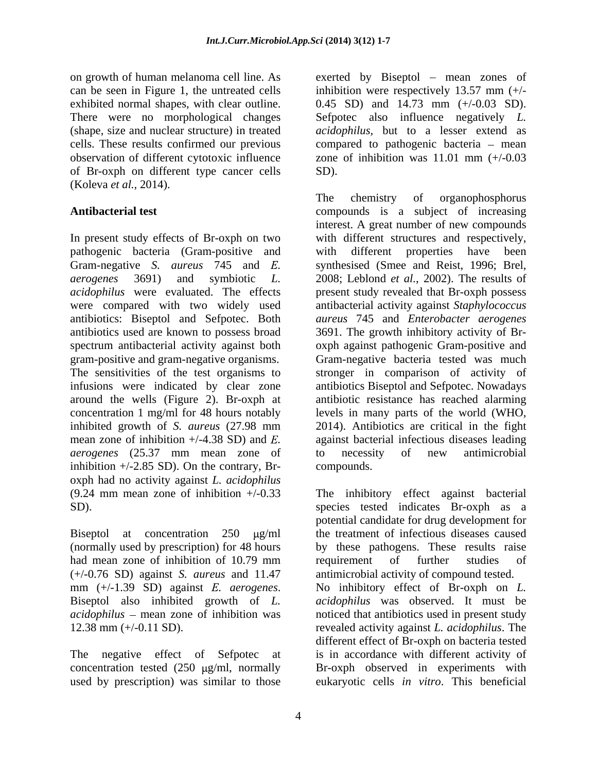exhibited normal shapes, with clear outline. of Br-oxph on different type cancer cells (Koleva *et al.,* 2014).

In present study effects of Br-oxph on two pathogenic bacteria (Gram-positive and with different properties have been antibiotics used are known to possess broad around the wells (Figure 2). Br-oxph at *aerogenes* (25.37 mm mean zone of inhibition +/-2.85 SD). On the contrary, Br oxph had no activity against *L. acidophilus*

had mean zone of inhibition of 10.79 mm requirement of further studies of (+/-0.76 SD) against *S. aureus* and 11.47 *acidophilus* – mean zone of inhibition was

used by prescription) was similar to those eukaryotic cells *in vitro*. This beneficial

on growth of human melanoma cell line. As exerted by Biseptol mean zones of can be seen in Figure 1, the untreated cells inhibition were respectively 13.57 mm (+/- There were no morphological changes Sefpotec also influence negatively *L.*  (shape, size and nuclear structure) in treated *acidophilus,* but to a lesser extend as cells. These results confirmed our previous compared to pathogenic bacteria – mean observation of different cytotoxic influence zone of inhibition was 11.01 mm (+/-0.03 0.45 SD) and 14.73 mm (+/-0.03 SD). SD).

**Antibacterial test** compounds is a subject of increasing Gram-negative *S. aureus* 745 and *E.* synthesised (Smee and Reist, 1996; Brel, *aerogenes* 3691) and symbiotic *L.* 2008; Leblond *et al.*, 2002). The results of *acidophilus* were evaluated. The effects present study revealed that Br-oxph possess were compared with two widely used antibacterial activity against *Staphylococcus* antibiotics: Biseptol and Sefpotec. Both *aureus* 745 and *Enterobacter aerogenes* spectrum antibacterial activity against both oxph against pathogenic Gram-positive and gram-positive and gram-negative organisms. Gram-negative bacteria tested was much The sensitivities of the test organisms to stronger in comparison of activity of infusions were indicated by clear zone antibiotics Biseptol and Sefpotec. Nowadays concentration 1 mg/ml for 48 hours notably levels in many parts of the world (WHO, inhibited growth of *S. aureus* (27.98 mm 2014). Antibiotics are critical in the fight mean zone of inhibition  $+/4.38$  SD) and *E*. against bacterial infectious diseases leading The chemistry of organophosphorus interest. A great number of new compounds with different structures and respectively, with different properties have been 3691. The growth inhibitory activity of Br antibiotic resistance has reached alarming to necessity of new antimicrobial compounds.

(9.24 mm mean zone of inhibition +/-0.33 The inhibitory effect against bacterial SD). species tested indicates Br-oxph as a Biseptol at concentration 250  $\mu$ g/ml the treatment of infectious diseases caused (normally used by prescription) for 48 hours by these pathogens. These results raise mm (+/-1.39 SD) against *E. aerogenes*. No inhibitory effect of Br-oxph on *L.*<br>Biseptol also inhibited growth of *L. acidophilus* was observed. It must be 12.38 mm (+/-0.11 SD). revealed activity against *L. acidophilus*. The The negative effect of Sefpotec at is in accordance with different activity of concentration tested (250 µg/ml, normally Br-oxph observed in experiments with potential candidate for drug development for requirement of further studies of antimicrobial activity of compound tested. No inhibitory effect of Br-oxph on *L. acidophilus* was observed. It must be noticed that antibiotics used in present study different effect of Br-oxph on bacteria tested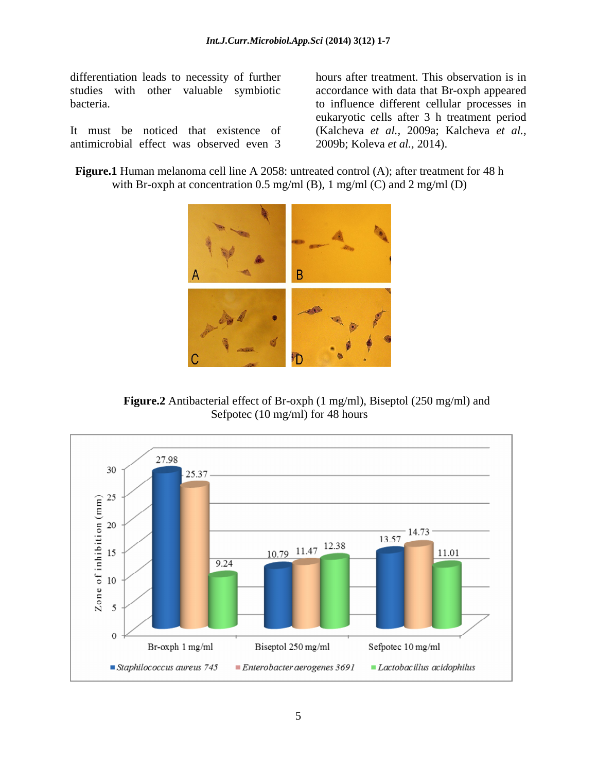differentiation leads to necessity of further

antimicrobial effect was observed even 3

studies with other valuable symbiotic accordance with data that Br-oxph appeared bacteria. to influence different cellular processes in It must be noticed that existence of (Kalcheva *et al.,* 2009a; Kalcheva *et al.,* hours after treatment. This observation is in eukaryotic cells after 3 h treatment period 2009b; Koleva *et al.,* 2014).

**Figure.1** Human melanoma cell line A 2058: untreated control (A); after treatment for 48 h with Br-oxph at concentration 0.5 mg/ml (B), 1 mg/ml (C) and 2 mg/ml (D)



**Figure.2** Antibacterial effect of Br-oxph (1 mg/ml), Biseptol (250 mg/ml) and Sefpotec (10 mg/ml) for 48 hours

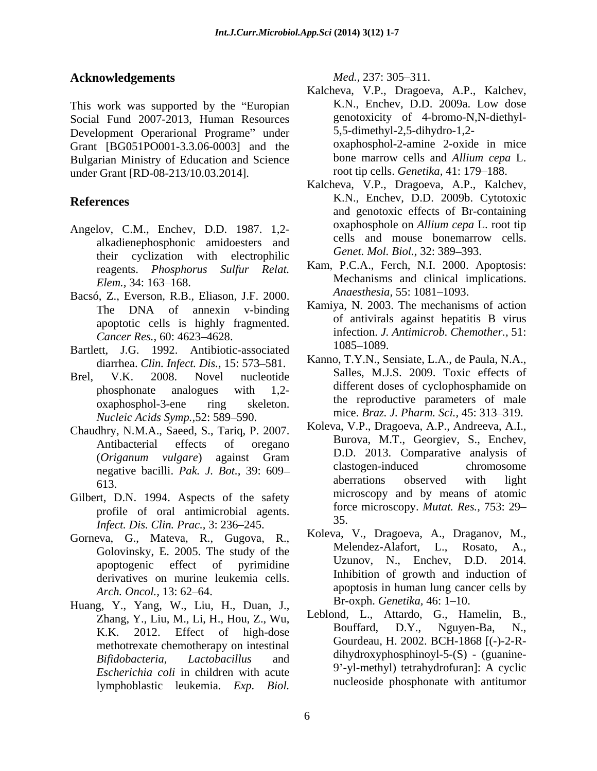## **Acknowledgements** Med., 237: 305–311.

Social Fund 2007-2013, Human Resources Development Operarional Programe" under Grant [BG051PO001-3.3.06-0003] and the Bulgarian Ministry of Education and Science

- Angelov, C.M., Enchev, D.D. 1987. 1,2 alkadienephosphonic amidoesters and their cyclization with electrophilic reagents. *Phosphorus Sulfur Relat.*
- Bacsó, Z., Everson, R.B., Eliason, J.F. 2000. apoptotic cells is highly fragmented. *Cancer Res.*, 60: 4623–4628. **INCOLOGY**<br>
att. LG 1992 Aptibiotic associated 1085–1089.
- Bartlett, J.G. 1992. Antibiotic-associated diarrhea. *Clin. Infect. Dis.,* 15: 573 581.
- *Nucleic Acids Symp., 52: 589-590.*
- Chaudhry, N.M.A., Saeed, S., Tariq, P. 2007.
- Gilbert, D.N. 1994. Aspects of the safety profile of oral antimicrobial agents.<br>
Infect Dis Clin Puse,  $2, 226, 245$  35. *Infect. Dis. Clin. Prac.*, 3: 236-245.
- Gorneva, G., Mateva, R., Gugova, R., Koleva, V., Dragoeva, A., Draganov, M., Golovinsky E. 2005. The study of the Melendez-Alafort, L., Rosato, A., derivatives on murine leukemia cells.
- Huang, Y., Yang, W., Liu, H., Duan, J., K.K. 2012. Effect of high-dose methotrexate chemotherapy on intestinal *Escherichia coli* in children with acute

- This work was supported by the "Europian K.N., Enchev, D.D. 2009a. Low dose under Grant [RD-08-213/10.03.2014]. root tip cells. *Genetika*, 41: 179–188.<br>Kalcheva, V.P., Dragoeva, A.P., Kalchev, Kalcheva, V.P., Dragoeva, A.P., Kalchev, K.N., Enchev, D.D. 2009a. Low dose genotoxicity of 4-bromo-N,N-diethyl- 5,5-dimethyl-2,5-dihydro-1,2 oxaphosphol-2-amine 2-oxide in mice bone marrow cells and *Allium cepa* L. root tip cells. *Genetika*, 41: 179–188.
- **References** K.N., Enchev, D.D. 2009b. Cytotoxic Kalcheva, V.P., Dragoeva, A.P., Kalchev, K.N., Enchev, D.D. 2009b. Cytotoxic and genotoxic effects of Br-containing oxaphosphole on *Allium cepa* L. root tip cells and mouse bonemarrow cells. Genet. Mol. Biol., 32: 389-393.
	- *Elem.*, 34: 163–168. Mechanisms and clinical implications. Kam, P.C.A., Ferch, N.I. 2000. Apoptosis: Mechanisms and clinical implications. *Anaesthesia,* 55: 1081-1093.
	- The DNA of annexin v-binding  $\frac{\text{Aam}y}{\text{Aam}}$ , N. 2005. The mechanisms of action Kamiya, N. 2003. The mechanisms of action of antivirals against hepatitis B virus infection. *J. Antimicrob. Chemother.,* 51: 1085–1089.
- Brel, V.K. 2008. Novel nucleotide Salles, M.J.S. 2009. TOXIC effects of phosphonate analogues with 1,2- all different doses of cyclophosphamide on oxaphosphol-3-ene ring skeleton. In reproductive parameters of male Kanno, T.Y.N., Sensiate, L.A., de Paula, N.A., Salles, M.J.S. 2009. Toxic effects of different doses of cyclophosphamide on the reproductive parameters of male mice. *Braz. J. Pharm. Sci.*, 45: 313-319.
- Antibacterial effects of oregano Burova, M.I., Georgiev, S., Enchev, (*Origanum vulgare*) against Gram negative bacilli. *Pak. J. Bot.*, 39: 609–<br>
aberrations observed with light 613. apertations observed with light **Oveledgements**<br> **Micheum Micheum Micheum Micheum Micheum A.P. Exp. Exp. Exp. Exp. Exp. Exp. Exp. Exp. Exp. Exp. Exp. Exp. Exp. Exp. Exp. Exp. Exp. Exp. Exp. Exp. Exp. Exp. Exp** Koleva, V.P., Dragoeva, A.P., Andreeva, A.I., Burova, M.T., Georgiev, S., Enchev, D.D. 2013. Comparative analysis of clastogen-induced chromosome aberrations observed with light microscopy and by means of atomic force microscopy. *Mutat. Res.,* 753: 29 35.
	- Golovinsky, E. 2005. The study of the Melendez-Alatort, L., Rosato, A.,  $\frac{1}{2014}$ apoptogenic effect of pyrimidine  $UZUNDV, N$ . Encney, D.D.  $2014$ . *Arch. Oncol.*, 13: 62–64. *Arch. Oncol.*, 13: 62–64. *Arch. Oncol.*, 13: 62–64. Koleva, V., Dragoeva, A., Draganov, M., Melendez-Alafort, L., Uzunov, N., Enchev, D.D. Inhibition of growth and induction of apoptosis in human lung cancer cells by Br-oxph. *Genetika*, 46: 1-10.
	- Zhang, Y., Liu, M., Li, H., Hou, Z., Wu, Leblond, L., Attardo, G., Hamelin, B., K.K. 2012. Effect of bigh-dose Bouffard, D.Y., Nguyen-Ba, N., *Bifidobacteria*, *Lactobacillus* and dihydroxyphosphinoyl-5-(S) - (guanine- Leblond, L., Attardo, G., Hamelin, B., Bouffard, D.Y., Nguyen-Ba, N., Gourdeau, H. 2002. BCH-1868 [(-)-2-R- 9 -yl-methyl) tetrahydrofuran]: A cyclic nucleoside phosphonate with antitumor